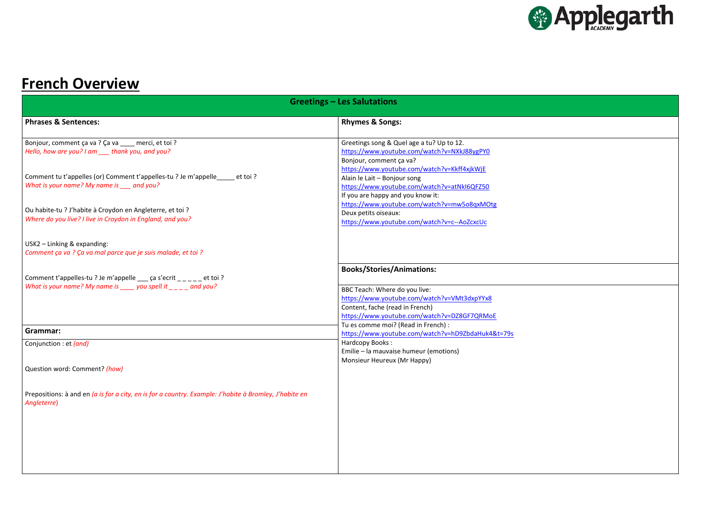# **French Overview**

|                                                                                                                                                                                | <b>Greetings - Les Salutations</b>                                                                                                                                                                 |  |
|--------------------------------------------------------------------------------------------------------------------------------------------------------------------------------|----------------------------------------------------------------------------------------------------------------------------------------------------------------------------------------------------|--|
| <b>Phrases &amp; Sentences:</b>                                                                                                                                                | <b>Rhymes &amp; Songs:</b>                                                                                                                                                                         |  |
| Bonjour, comment ça va ? Ça va ___ merci, et toi ?<br>Hello, how are you? I am ____ thank you, and you?                                                                        | Greetings song & Quel age a tu? Up to 12.<br>https://www.youtube.com/watch?v=NXkJ88ygPY0<br>Bonjour, comment ça va?                                                                                |  |
| Comment tu t'appelles (or) Comment t'appelles-tu ? Je m'appelle _____ et toi ?<br>What is your name? My name is ___ and you?                                                   | https://www.youtube.com/watch?v=Kkff4xjkWjE<br>Alain le Lait - Bonjour song<br>https://www.youtube.com/watch?v=atNkI6QFZ50<br>If you are happy and you know it:                                    |  |
| Ou habite-tu ? J'habite à Croydon en Angleterre, et toi ?<br>Where do you live? I live in Croydon in England, and you?                                                         | https://www.youtube.com/watch?v=mw5o8qxMOtg<br>Deux petits oiseaux:<br>https://www.youtube.com/watch?v=c--AoZcxcUc                                                                                 |  |
| $USK2 - Linking & expanding:$<br>Comment ça va ? Ça va mal parce que je suis malade, et toi ?                                                                                  |                                                                                                                                                                                                    |  |
| Comment t'appelles-tu ? Je m'appelle $\_\_\$ ca s'ecrit $\_\_\_\_\_$ et toi ?<br>What is your name? My name is $\frac{1}{\sqrt{2}}$ you spell it $\frac{1}{\sqrt{2}}$ and you? | <b>Books/Stories/Animations:</b><br>BBC Teach: Where do you live:<br>https://www.youtube.com/watch?v=VMt3dxpYYx8<br>Content, fache (read in French)<br>https://www.youtube.com/watch?v=DZ8GF7QRMoE |  |
| Grammar:                                                                                                                                                                       | Tu es comme moi? (Read in French) :<br>https://www.youtube.com/watch?v=hD9ZbdaHuk4&t=79s                                                                                                           |  |
| Conjunction : et (and)                                                                                                                                                         | Hardcopy Books:<br>Emilie - la mauvaise humeur (emotions)<br>Monsieur Heureux (Mr Happy)                                                                                                           |  |
| Question word: Comment? (how)                                                                                                                                                  |                                                                                                                                                                                                    |  |
| Prepositions: à and en (a is for a city, en is for a country. Example: J'habite à Bromley, J'habite en<br>Angleterre)                                                          |                                                                                                                                                                                                    |  |



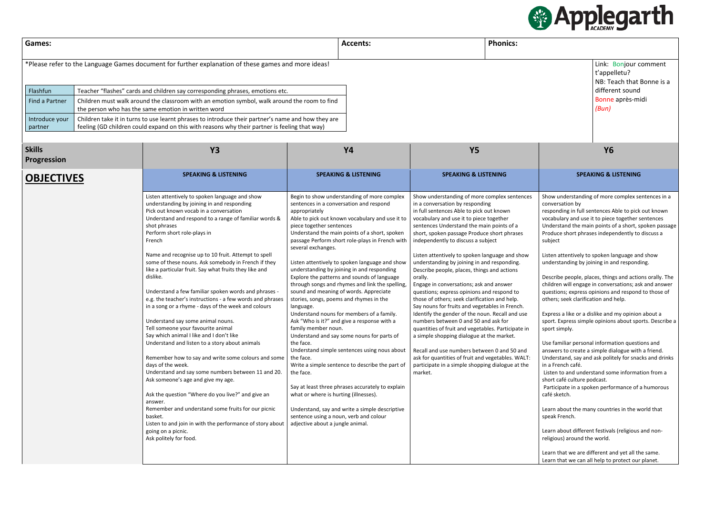| <b>Games:</b>                                                                                       | <b>Accents:</b> | <b>Phonics:</b> |
|-----------------------------------------------------------------------------------------------------|-----------------|-----------------|
| *Please refer to the Language Games document for further explanation of these games and more ideas! |                 |                 |

| Flashfun                  | Teacher "flashes" cards and children say corresponding phrases, emotions etc.                                                                                                                       |
|---------------------------|-----------------------------------------------------------------------------------------------------------------------------------------------------------------------------------------------------|
| Find a Partner            | Children must walk around the classroom with an emotion symbol, walk around the room to find<br>the person who has the same emotion in written word                                                 |
| Introduce your<br>partner | Children take it in turns to use learnt phrases to introduce their partner's name and how they are<br>feeling (GD children could expand on this with reasons why their partner is feeling that way) |

Link: Bonjour comment t'appelletu? NB: Teach that Bonne is a different sound Bonne après-midi *(Bun)*

| <b>Skills</b><br><b>Progression</b> | <b>Y3</b>                                                                                                                                                                                                                                                                                                                                                                                                                                                                                                                                                                                                                                                                                                                                                                                                                                                                                                                                                                                                                                                                                                                                                                                                               | <b>Y4</b>                                                                                                                                                                                                                                                                                                                                                                                                                                                                                                                                                                                                                                                                                                                                                                                                                                                                                                                                                                                                                                                                                                                                                    | <b>Y5</b>                                                                                                                                                                                                                                                                                                                                                                                                                                                                                                                                                                                                                                                                                                                                                                                                                                                                                                                                                                                                                        | <b>Y6</b>                                                                                                                                                                                                                                                                                                                                                                                                                                                                                                                                                                                                                                                                                                                                                                                                                                                                                                                                                                                                                                                                                                                                                           |
|-------------------------------------|-------------------------------------------------------------------------------------------------------------------------------------------------------------------------------------------------------------------------------------------------------------------------------------------------------------------------------------------------------------------------------------------------------------------------------------------------------------------------------------------------------------------------------------------------------------------------------------------------------------------------------------------------------------------------------------------------------------------------------------------------------------------------------------------------------------------------------------------------------------------------------------------------------------------------------------------------------------------------------------------------------------------------------------------------------------------------------------------------------------------------------------------------------------------------------------------------------------------------|--------------------------------------------------------------------------------------------------------------------------------------------------------------------------------------------------------------------------------------------------------------------------------------------------------------------------------------------------------------------------------------------------------------------------------------------------------------------------------------------------------------------------------------------------------------------------------------------------------------------------------------------------------------------------------------------------------------------------------------------------------------------------------------------------------------------------------------------------------------------------------------------------------------------------------------------------------------------------------------------------------------------------------------------------------------------------------------------------------------------------------------------------------------|----------------------------------------------------------------------------------------------------------------------------------------------------------------------------------------------------------------------------------------------------------------------------------------------------------------------------------------------------------------------------------------------------------------------------------------------------------------------------------------------------------------------------------------------------------------------------------------------------------------------------------------------------------------------------------------------------------------------------------------------------------------------------------------------------------------------------------------------------------------------------------------------------------------------------------------------------------------------------------------------------------------------------------|---------------------------------------------------------------------------------------------------------------------------------------------------------------------------------------------------------------------------------------------------------------------------------------------------------------------------------------------------------------------------------------------------------------------------------------------------------------------------------------------------------------------------------------------------------------------------------------------------------------------------------------------------------------------------------------------------------------------------------------------------------------------------------------------------------------------------------------------------------------------------------------------------------------------------------------------------------------------------------------------------------------------------------------------------------------------------------------------------------------------------------------------------------------------|
| <b>OBJECTIVES</b>                   | <b>SPEAKING &amp; LISTENING</b>                                                                                                                                                                                                                                                                                                                                                                                                                                                                                                                                                                                                                                                                                                                                                                                                                                                                                                                                                                                                                                                                                                                                                                                         | <b>SPEAKING &amp; LISTENING</b>                                                                                                                                                                                                                                                                                                                                                                                                                                                                                                                                                                                                                                                                                                                                                                                                                                                                                                                                                                                                                                                                                                                              | <b>SPEAKING &amp; LISTENING</b>                                                                                                                                                                                                                                                                                                                                                                                                                                                                                                                                                                                                                                                                                                                                                                                                                                                                                                                                                                                                  | <b>SPEAKING &amp; LISTENING</b>                                                                                                                                                                                                                                                                                                                                                                                                                                                                                                                                                                                                                                                                                                                                                                                                                                                                                                                                                                                                                                                                                                                                     |
|                                     | Listen attentively to spoken language and show<br>understanding by joining in and responding<br>Pick out known vocab in a conversation<br>Understand and respond to a range of familiar words &<br>shot phrases<br>Perform short role-plays in<br>French<br>Name and recognise up to 10 fruit. Attempt to spell<br>some of these nouns. Ask somebody in French if they<br>like a particular fruit. Say what fruits they like and<br>dislike.<br>Understand a few familiar spoken words and phrases -<br>e.g. the teacher's instructions - a few words and phrases<br>in a song or a rhyme - days of the week and colours<br>Understand say some animal nouns.<br>Tell someone your favourite animal<br>Say which animal I like and I don't like<br>Understand and listen to a story about animals<br>Remember how to say and write some colours and some<br>days of the week.<br>Understand and say some numbers between 11 and 20.<br>Ask someone's age and give my age.<br>Ask the question "Where do you live?" and give an<br>answer.<br>Remember and understand some fruits for our picnic<br>basket.<br>Listen to and join in with the performance of story about<br>going on a picnic.<br>Ask politely for food. | Begin to show understanding of more complex<br>sentences in a conversation and respond<br>appropriately<br>Able to pick out known vocabulary and use it to<br>piece together sentences<br>Understand the main points of a short, spoken<br>passage Perform short role-plays in French with<br>several exchanges.<br>Listen attentively to spoken language and show<br>understanding by joining in and responding<br>Explore the patterns and sounds of language<br>through songs and rhymes and link the spelling,<br>sound and meaning of words. Appreciate<br>stories, songs, poems and rhymes in the<br>language.<br>Understand nouns for members of a family.<br>Ask "Who is it?" and give a response with a<br>family member noun.<br>Understand and say some nouns for parts of<br>the face.<br>Understand simple sentences using nous about<br>the face.<br>Write a simple sentence to describe the part of<br>the face.<br>Say at least three phrases accurately to explain<br>what or where is hurting (illnesses).<br>Understand, say and write a simple descriptive<br>sentence using a noun, verb and colour<br>adjective about a jungle animal. | Show understanding of more complex sentences<br>in a conversation by responding<br>in full sentences Able to pick out known<br>vocabulary and use it to piece together<br>sentences Understand the main points of a<br>short, spoken passage Produce short phrases<br>independently to discuss a subject<br>Listen attentively to spoken language and show<br>understanding by joining in and responding.<br>Describe people, places, things and actions<br>orally.<br>Engage in conversations; ask and answer<br>questions; express opinions and respond to<br>those of others; seek clarification and help.<br>Say nouns for fruits and vegetables in French.<br>Identify the gender of the noun. Recall and use<br>numbers between 0 and 50 and ask for<br>quantities of fruit and vegetables. Participate in<br>a simple shopping dialogue at the market.<br>Recall and use numbers between 0 and 50 and<br>ask for quantities of fruit and vegetables. WALT:<br>participate in a simple shopping dialogue at the<br>market. | Show understanding of more complex se<br>conversation by<br>responding in full sentences Able to pick<br>vocabulary and use it to piece together s<br>Understand the main points of a short, s<br>Produce short phrases independently to<br>subject<br>Listen attentively to spoken language an<br>understanding by joining in and respond<br>Describe people, places, things and actic<br>children will engage in conversations; as<br>questions; express opinions and respond<br>others; seek clarification and help.<br>Express a like or a dislike and my opinior<br>sport. Express simple opinions about spo<br>sport simply.<br>Use familiar personal information questi<br>answers to create a simple dialogue with<br>Understand, say and ask politely for sna<br>in a French café.<br>Listen to and understand some informat<br>short café culture podcast.<br>Participate in a spoken performance of<br>café sketch.<br>Learn about the many countries in the w<br>speak French.<br>Learn about different festivals (religious<br>religious) around the world.<br>Learn that we are different and yet all th<br>Learn that we can all help to protect our |



Show understanding of more complex sentences in a conversation by

responding in full sentences Able to pick out known vocabulary and use it to piece together sentences Understand the main points of a short, spoken passage Produce short phrases independently to discuss a subject

Listen attentively to spoken language and show understanding by joining in and responding.

Describe people, places, things and actions orally. The children will engage in conversations; ask and answer questions; express opinions and respond to those of others; seek clarification and help.

Express a like or a dislike and my opinion about a sport. Express simple opinions about sports. Describe a sport simply.

Use familiar personal information questions and answers to create a simple dialogue with a friend. Understand, say and ask politely for snacks and drinks in a French café.

Listen to and understand some information from a short café culture podcast.

Participate in a spoken performance of a humorous café sketch.

Learn about the many countries in the world that speak French.

Learn about different festivals (religious and nonreligious) around the world.

Learn that we are different and yet all the same. Learn that we can all help to protect our planet.